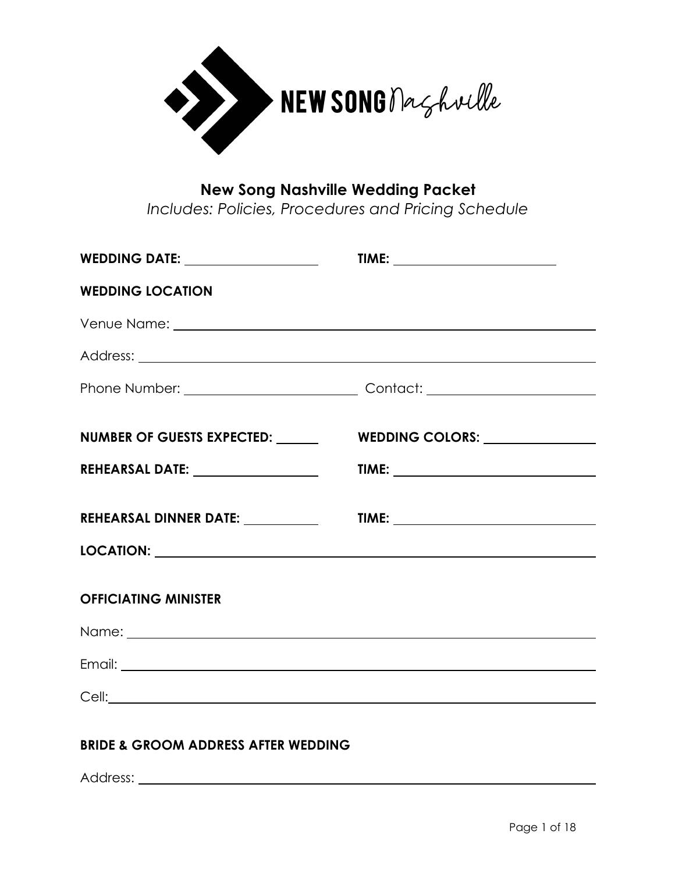

#### **New Song Nashville Wedding Packet**

*Includes: Policies, Procedures and Pricing Schedule*

| <b>WEDDING DATE:</b> ____________________                                                                                                                                                                                           |                                                  |
|-------------------------------------------------------------------------------------------------------------------------------------------------------------------------------------------------------------------------------------|--------------------------------------------------|
| <b>WEDDING LOCATION</b>                                                                                                                                                                                                             |                                                  |
|                                                                                                                                                                                                                                     |                                                  |
|                                                                                                                                                                                                                                     |                                                  |
|                                                                                                                                                                                                                                     |                                                  |
|                                                                                                                                                                                                                                     |                                                  |
| <b>NUMBER OF GUESTS EXPECTED:</b>                                                                                                                                                                                                   | WEDDING COLORS: Universe Property of Australians |
| REHEARSAL DATE: ___________________                                                                                                                                                                                                 |                                                  |
|                                                                                                                                                                                                                                     |                                                  |
| REHEARSAL DINNER DATE: __________                                                                                                                                                                                                   |                                                  |
|                                                                                                                                                                                                                                     |                                                  |
|                                                                                                                                                                                                                                     |                                                  |
| <b>OFFICIATING MINISTER</b>                                                                                                                                                                                                         |                                                  |
|                                                                                                                                                                                                                                     |                                                  |
|                                                                                                                                                                                                                                     |                                                  |
|                                                                                                                                                                                                                                     |                                                  |
| Cell: <u>Cell</u> Contract the Contract of the Contract of the Contract of the Contract of the Contract of the Contract of the Contract of the Contract of the Contract of the Contract of the Contract of the Contract of the Cont |                                                  |

#### **BRIDE & GROOM ADDRESS AFTER WEDDING**

Address: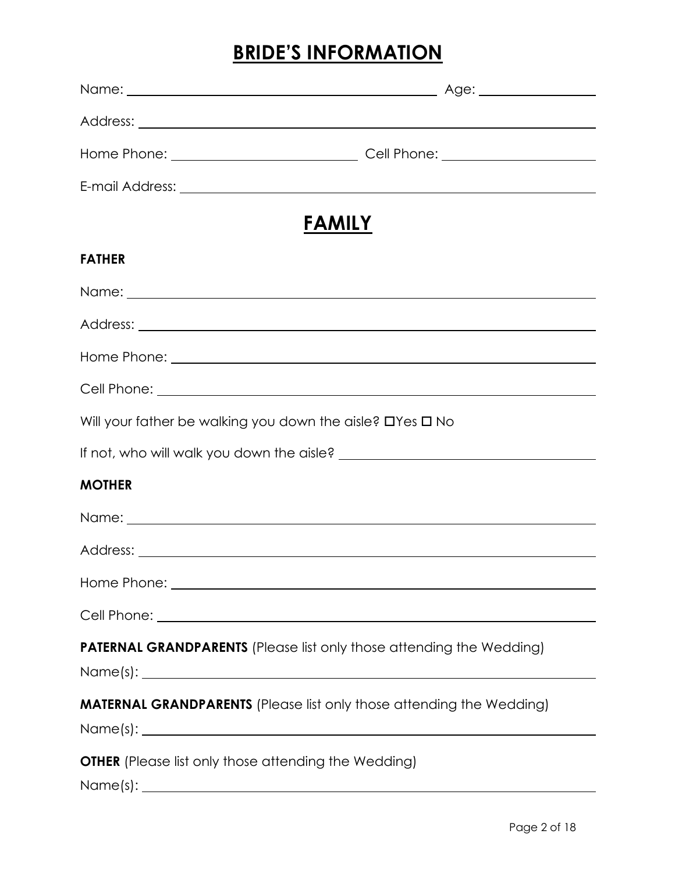### **BRIDE'S INFORMATION**

| <b>FAMILY</b>                                                                                                                                                                                                                        |  |
|--------------------------------------------------------------------------------------------------------------------------------------------------------------------------------------------------------------------------------------|--|
| <b>FATHER</b>                                                                                                                                                                                                                        |  |
| Name: <u>with the contract of the contract of the contract of the contract of the contract of the contract of the contract of the contract of the contract of the contract of the contract of the contract of the contract of th</u> |  |
|                                                                                                                                                                                                                                      |  |
|                                                                                                                                                                                                                                      |  |
|                                                                                                                                                                                                                                      |  |
| Will your father be walking you down the aisle? $\Box$ Yes $\Box$ No                                                                                                                                                                 |  |
|                                                                                                                                                                                                                                      |  |
| <b>MOTHER</b>                                                                                                                                                                                                                        |  |
|                                                                                                                                                                                                                                      |  |
|                                                                                                                                                                                                                                      |  |
|                                                                                                                                                                                                                                      |  |
|                                                                                                                                                                                                                                      |  |
| <b>PATERNAL GRANDPARENTS</b> (Please list only those attending the Wedding)<br>$Name(s):$ $\qquad \qquad$                                                                                                                            |  |
| <b>MATERNAL GRANDPARENTS</b> (Please list only those attending the Wedding)                                                                                                                                                          |  |
| <b>OTHER</b> (Please list only those attending the Wedding)                                                                                                                                                                          |  |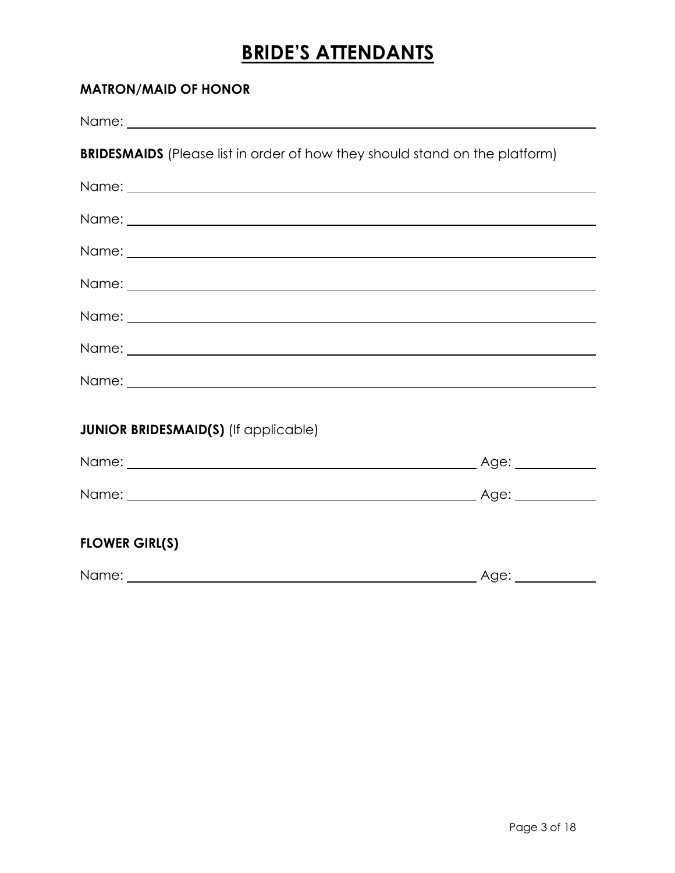# **BRIDE'S ATTENDANTS**

#### **MATRON/MAID OF HONOR**

| <b>BRIDESMAIDS</b> (Please list in order of how they should stand on the platform) |  |
|------------------------------------------------------------------------------------|--|
|                                                                                    |  |
|                                                                                    |  |
|                                                                                    |  |
|                                                                                    |  |
|                                                                                    |  |
|                                                                                    |  |
|                                                                                    |  |
|                                                                                    |  |
| <b>JUNIOR BRIDESMAID(S)</b> (If applicable)                                        |  |
|                                                                                    |  |
|                                                                                    |  |
|                                                                                    |  |
| <b>FLOWER GIRL(S)</b>                                                              |  |
|                                                                                    |  |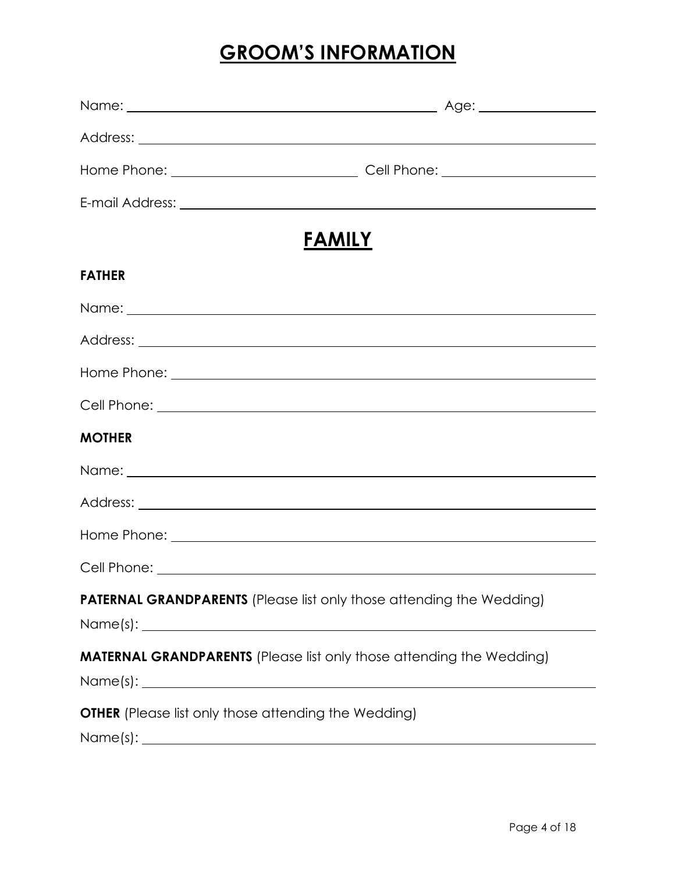### **GROOM'S INFORMATION**

| <b>FAMILY</b>                                                                                             |  |
|-----------------------------------------------------------------------------------------------------------|--|
| <b>FATHER</b>                                                                                             |  |
|                                                                                                           |  |
|                                                                                                           |  |
|                                                                                                           |  |
|                                                                                                           |  |
| <b>MOTHER</b>                                                                                             |  |
|                                                                                                           |  |
|                                                                                                           |  |
|                                                                                                           |  |
|                                                                                                           |  |
| <b>PATERNAL GRANDPARENTS</b> (Please list only those attending the Wedding)<br>$Name(s):$ $\qquad \qquad$ |  |
| <b>MATERNAL GRANDPARENTS</b> (Please list only those attending the Wedding)                               |  |
| <b>OTHER</b> (Please list only those attending the Wedding)                                               |  |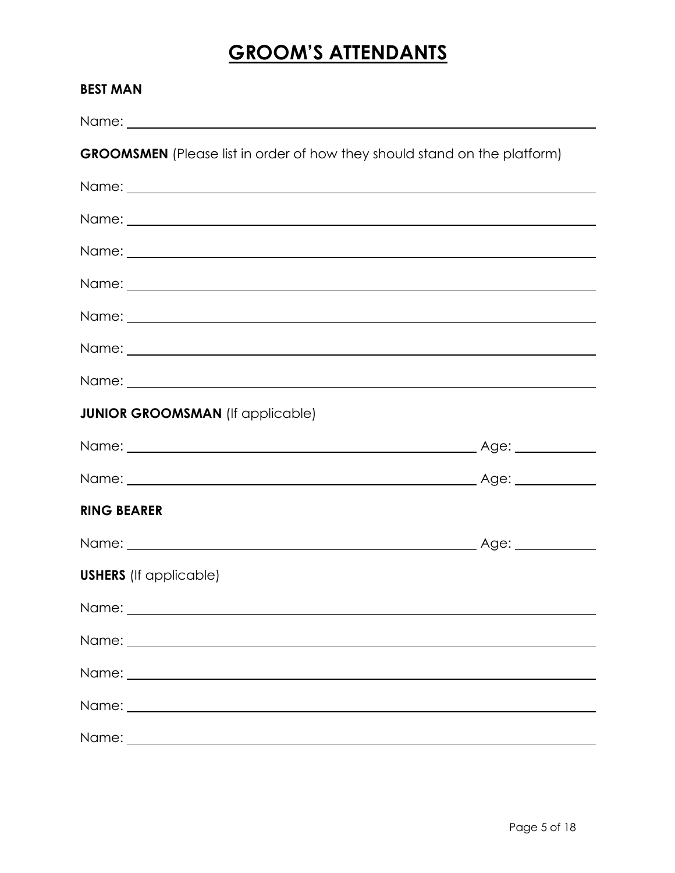## **GROOM'S ATTENDANTS**

| <b>BEST MAN</b>                                                                  |                   |
|----------------------------------------------------------------------------------|-------------------|
|                                                                                  |                   |
| <b>GROOMSMEN</b> (Please list in order of how they should stand on the platform) |                   |
|                                                                                  |                   |
|                                                                                  |                   |
|                                                                                  |                   |
|                                                                                  |                   |
|                                                                                  |                   |
|                                                                                  |                   |
|                                                                                  |                   |
| <b>JUNIOR GROOMSMAN</b> (If applicable)                                          |                   |
|                                                                                  |                   |
|                                                                                  |                   |
| <b>RING BEARER</b>                                                               |                   |
|                                                                                  | Age: ____________ |
| <b>USHERS</b> (If applicable)                                                    |                   |
|                                                                                  |                   |
|                                                                                  |                   |
|                                                                                  |                   |
|                                                                                  |                   |
|                                                                                  |                   |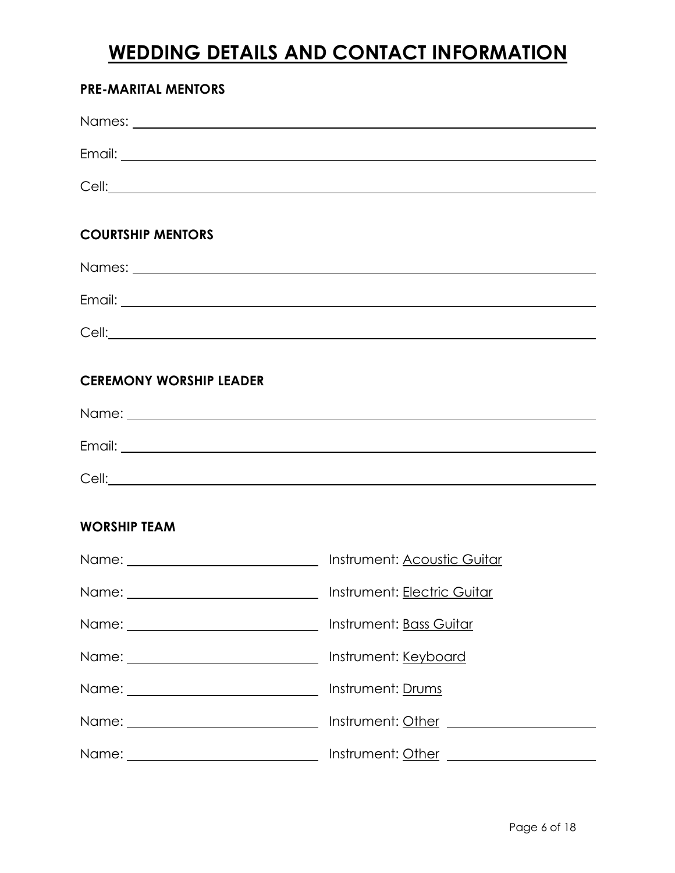### **WEDDING DETAILS AND CONTACT INFORMATION**

#### **PRE-MARITAL MENTORS**

| <b>COURTSHIP MENTORS</b>       |
|--------------------------------|
|                                |
|                                |
|                                |
| <b>CEREMONY WORSHIP LEADER</b> |
|                                |
|                                |
|                                |

#### **WORSHIP TEAM**

| Instrument: Acoustic Guitar |
|-----------------------------|
| Instrument: Electric Guitar |
| Instrument: Bass Guitar     |
| Instrument: Keyboard        |
| Instrument: Drums           |
|                             |
|                             |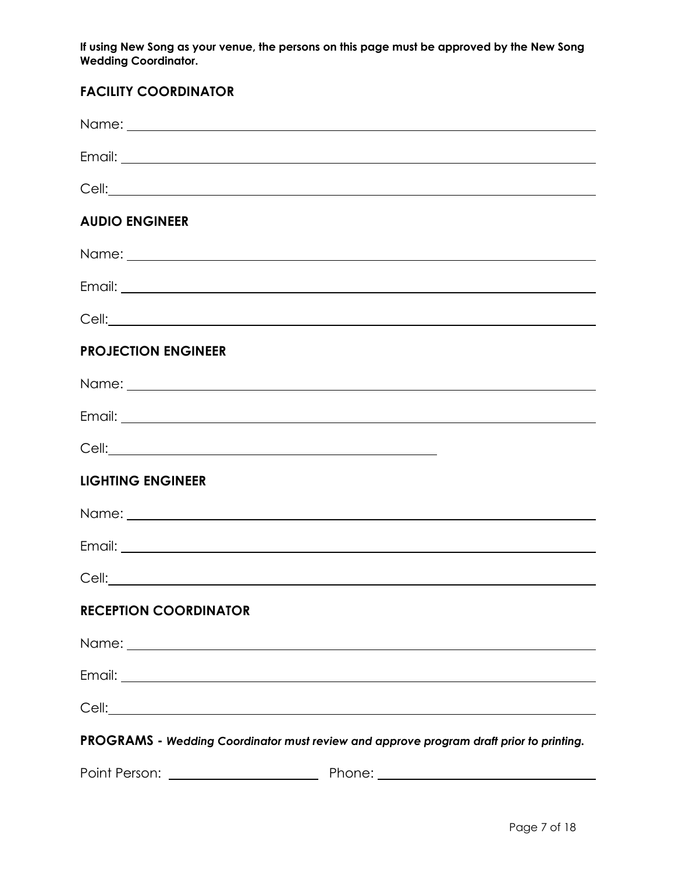**If using New Song as your venue, the persons on this page must be approved by the New Song Wedding Coordinator.**

#### **FACILITY COORDINATOR**

| Email: <u>Alexander Alexander Alexander Alexander Alexander Alexander Alexander Alexander Alexander Alexander Alexander Alexander Alexander Alexander Alexander Alexander Alexander Alexander Alexander Alexander Alexander Alex</u> |
|--------------------------------------------------------------------------------------------------------------------------------------------------------------------------------------------------------------------------------------|
| Cell: <u>Cell</u> : 2004                                                                                                                                                                                                             |
|                                                                                                                                                                                                                                      |
|                                                                                                                                                                                                                                      |
|                                                                                                                                                                                                                                      |
|                                                                                                                                                                                                                                      |
|                                                                                                                                                                                                                                      |
|                                                                                                                                                                                                                                      |
|                                                                                                                                                                                                                                      |
|                                                                                                                                                                                                                                      |
| PROGRAMS - Wedding Coordinator must review and approve program draft prior to printing.                                                                                                                                              |
|                                                                                                                                                                                                                                      |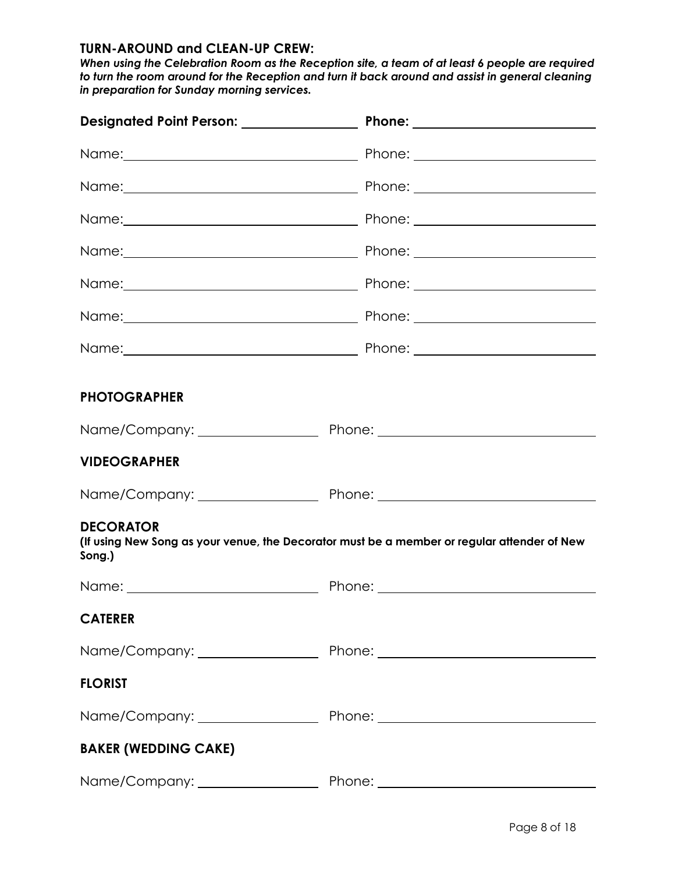#### **TURN-AROUND and CLEAN-UP CREW:**

*When using the Celebration Room as the Reception site, a team of at least 6 people are required to turn the room around for the Reception and turn it back around and assist in general cleaning in preparation for Sunday morning services.*

| <b>PHOTOGRAPHER</b>         |                                                                                             |
|-----------------------------|---------------------------------------------------------------------------------------------|
|                             |                                                                                             |
| <b>VIDEOGRAPHER</b>         |                                                                                             |
|                             |                                                                                             |
| <b>DECORATOR</b><br>Song.)  | (If using New Song as your venue, the Decorator must be a member or regular attender of New |
|                             |                                                                                             |
| <b>CATERER</b>              |                                                                                             |
|                             |                                                                                             |
| <b>FLORIST</b>              |                                                                                             |
|                             |                                                                                             |
| <b>BAKER (WEDDING CAKE)</b> |                                                                                             |
|                             |                                                                                             |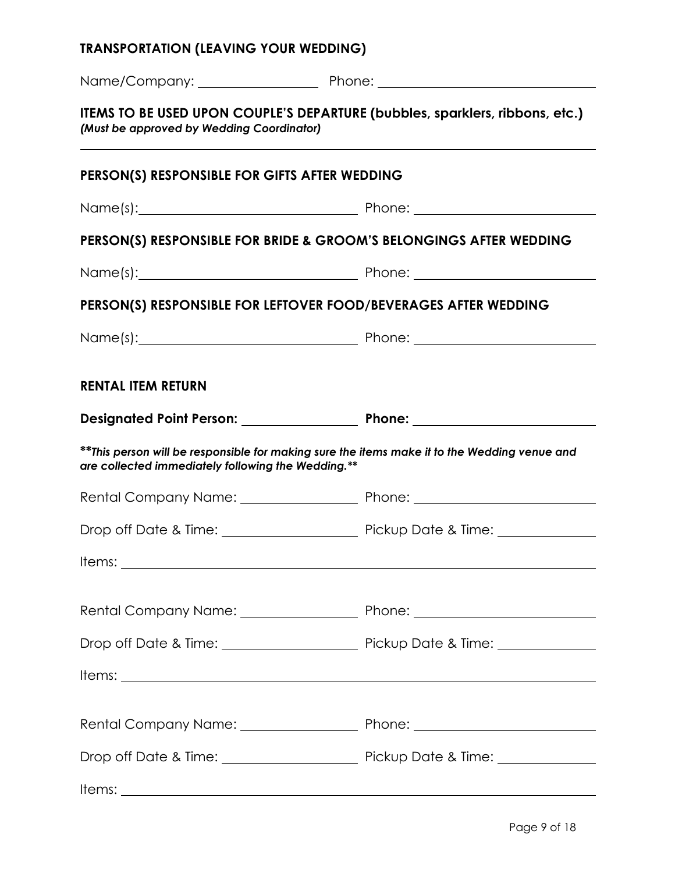# **TRANSPORTATION (LEAVING YOUR WEDDING)** Name/Company: Phone: **ITEMS TO BE USED UPON COUPLE'S DEPARTURE (bubbles, sparklers, ribbons, etc.)** *(Must be approved by Wedding Coordinator)* **PERSON(S) RESPONSIBLE FOR GIFTS AFTER WEDDING** Name(s): Name(s): Phone: Phone: Phone: Phone: Phone: Phone: Phone: Phone: Phone: Phone: Phone: Phone: Phone: Phone: Phone: Phone: Phone: Phone: Phone: Phone: Phone: Phone: Phone: Phone: Phone: Phone: Phone: Phone: Phone: P **PERSON(S) RESPONSIBLE FOR BRIDE & GROOM'S BELONGINGS AFTER WEDDING** Name(s): Phone: **PERSON(S) RESPONSIBLE FOR LEFTOVER FOOD/BEVERAGES AFTER WEDDING** Name(s): Name(s): Phone: Phone: 2014 **RENTAL ITEM RETURN Designated Point Person: Phone: \*\****This person will be responsible for making sure the items make it to the Wedding venue and are collected immediately following the Wedding.\*\** Rental Company Name: Phone: Drop off Date & Time: Pickup Date & Time: Items: when the contract of the contract of the contract of the contract of the contract of the contract of the contract of the contract of the contract of the contract of the contract of the contract of the contract of th Rental Company Name: Phone: Phone: Drop off Date & Time: Pickup Date & Time: Items: Rental Company Name: Phone: Phone: Phone:

Drop off Date & Time: Pickup Date & Time:

Items: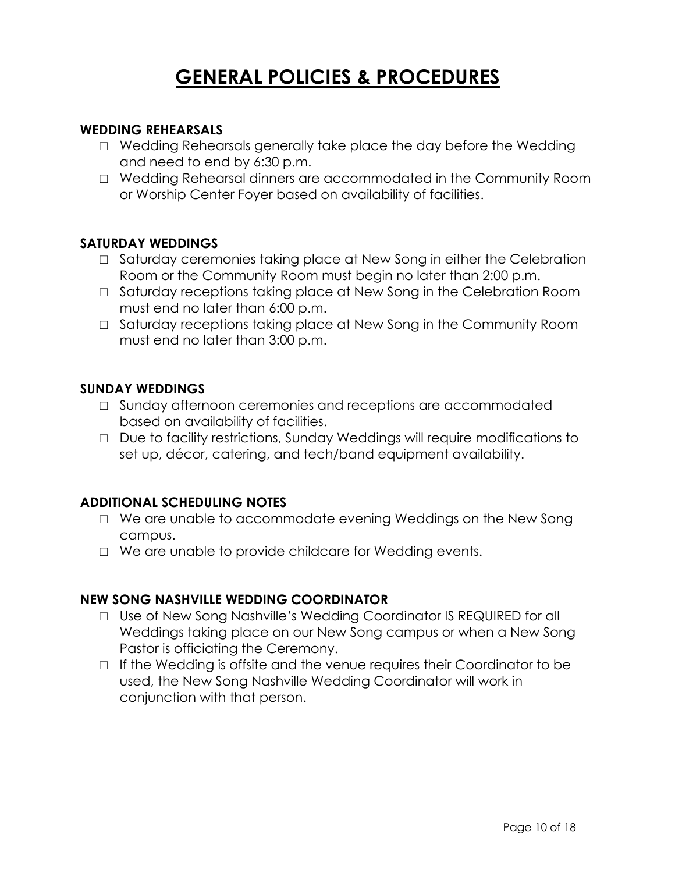### **GENERAL POLICIES & PROCEDURES**

#### **WEDDING REHEARSALS**

- □ Wedding Rehearsals generally take place the day before the Wedding and need to end by 6:30 p.m.
- □ Wedding Rehearsal dinners are accommodated in the Community Room or Worship Center Foyer based on availability of facilities.

#### **SATURDAY WEDDINGS**

- □ Saturday ceremonies taking place at New Song in either the Celebration Room or the Community Room must begin no later than 2:00 p.m.
- □ Saturday receptions taking place at New Song in the Celebration Room must end no later than 6:00 p.m.
- $\Box$  Saturday receptions taking place at New Song in the Community Room must end no later than 3:00 p.m.

#### **SUNDAY WEDDINGS**

- □ Sunday afternoon ceremonies and receptions are accommodated based on availability of facilities.
- □ Due to facility restrictions, Sunday Weddings will require modifications to set up, décor, catering, and tech/band equipment availability.

#### **ADDITIONAL SCHEDULING NOTES**

- □ We are unable to accommodate evening Weddings on the New Song campus.
- □ We are unable to provide childcare for Wedding events.

#### **NEW SONG NASHVILLE WEDDING COORDINATOR**

- □ Use of New Song Nashville's Wedding Coordinator IS REQUIRED for all Weddings taking place on our New Song campus or when a New Song Pastor is officiating the Ceremony.
- $\Box$  If the Wedding is offsite and the venue requires their Coordinator to be used, the New Song Nashville Wedding Coordinator will work in conjunction with that person.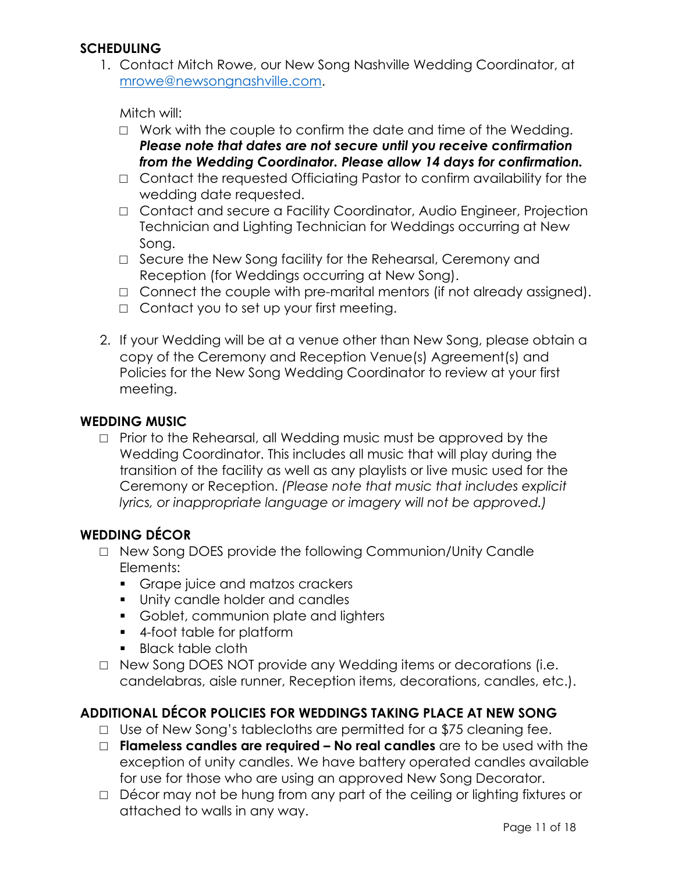#### **SCHEDULING**

1. Contact Mitch Rowe, our New Song Nashville Wedding Coordinator, at mrowe@newsongnashville.com.

Mitch will:

- $\Box$  Work with the couple to confirm the date and time of the Wedding. *Please note that dates are not secure until you receive confirmation from the Wedding Coordinator. Please allow 14 days for confirmation.*
- □ Contact the requested Officiating Pastor to confirm availability for the wedding date requested.
- □ Contact and secure a Facility Coordinator, Audio Engineer, Projection Technician and Lighting Technician for Weddings occurring at New Song.
- □ Secure the New Song facility for the Rehearsal, Ceremony and Reception (for Weddings occurring at New Song).
- □ Connect the couple with pre-marital mentors (if not already assigned).
- $\Box$  Contact you to set up your first meeting.
- 2. If your Wedding will be at a venue other than New Song, please obtain a copy of the Ceremony and Reception Venue(s) Agreement(s) and Policies for the New Song Wedding Coordinator to review at your first meeting.

#### **WEDDING MUSIC**

□ Prior to the Rehearsal, all Wedding music must be approved by the Wedding Coordinator. This includes all music that will play during the transition of the facility as well as any playlists or live music used for the Ceremony or Reception. *(Please note that music that includes explicit lyrics, or inappropriate language or imagery will not be approved.)*

#### **WEDDING DÉCOR**

- □ New Song DOES provide the following Communion/Unity Candle Elements:
	- Grape juice and matzos crackers
	- § Unity candle holder and candles
	- Goblet, communion plate and lighters
	- 4-foot table for platform
	- Black table cloth
- □ New Song DOES NOT provide any Wedding items or decorations (i.e. candelabras, aisle runner, Reception items, decorations, candles, etc.).

#### **ADDITIONAL DÉCOR POLICIES FOR WEDDINGS TAKING PLACE AT NEW SONG**

- □ Use of New Song's tablecloths are permitted for a \$75 cleaning fee.
- □ **Flameless candles are required – No real candles** are to be used with the exception of unity candles. We have battery operated candles available for use for those who are using an approved New Song Decorator.
- □ Décor may not be hung from any part of the ceiling or lighting fixtures or attached to walls in any way.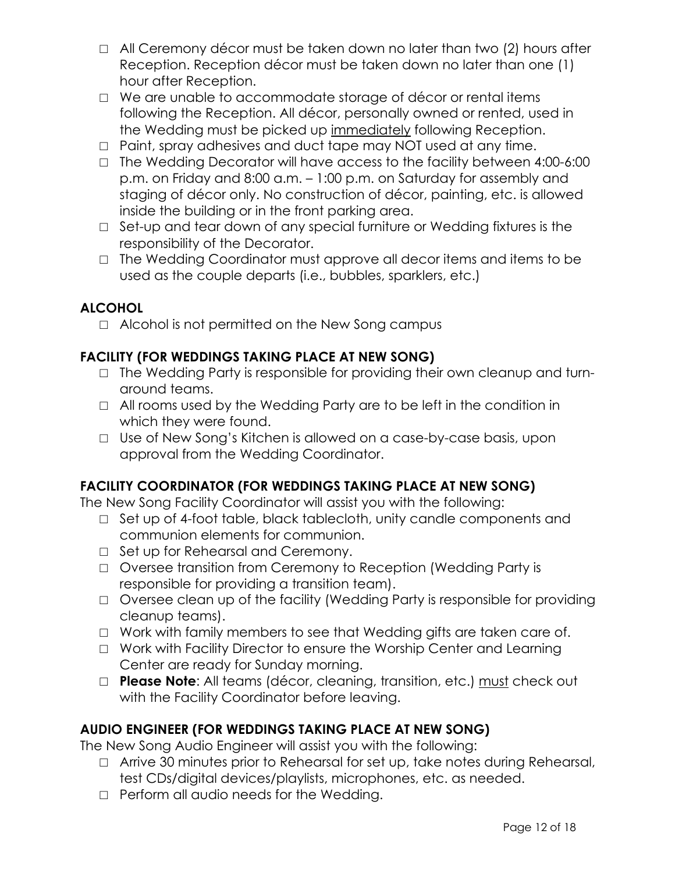- □ All Ceremony décor must be taken down no later than two (2) hours after Reception. Reception décor must be taken down no later than one (1) hour after Reception.
- □ We are unable to accommodate storage of décor or rental items following the Reception. All décor, personally owned or rented, used in the Wedding must be picked up immediately following Reception.
- □ Paint, spray adhesives and duct tape may NOT used at any time.
- □ The Wedding Decorator will have access to the facility between 4:00-6:00 p.m. on Friday and 8:00 a.m. – 1:00 p.m. on Saturday for assembly and staging of décor only. No construction of décor, painting, etc. is allowed inside the building or in the front parking area.
- □ Set-up and tear down of any special furniture or Wedding fixtures is the responsibility of the Decorator.
- □ The Wedding Coordinator must approve all decor items and items to be used as the couple departs (i.e., bubbles, sparklers, etc.)

#### **ALCOHOL**

□ Alcohol is not permitted on the New Song campus

#### **FACILITY (FOR WEDDINGS TAKING PLACE AT NEW SONG)**

- □ The Wedding Party is responsible for providing their own cleanup and turnaround teams.
- $\Box$  All rooms used by the Wedding Party are to be left in the condition in which they were found.
- □ Use of New Song's Kitchen is allowed on a case-by-case basis, upon approval from the Wedding Coordinator.

#### **FACILITY COORDINATOR (FOR WEDDINGS TAKING PLACE AT NEW SONG)**

The New Song Facility Coordinator will assist you with the following:

- □ Set up of 4-foot table, black tablecloth, unity candle components and communion elements for communion.
- □ Set up for Rehearsal and Ceremony.
- □ Oversee transition from Ceremony to Reception (Wedding Party is responsible for providing a transition team).
- □ Oversee clean up of the facility (Wedding Party is responsible for providing cleanup teams).
- □ Work with family members to see that Wedding gifts are taken care of.
- □ Work with Facility Director to ensure the Worship Center and Learning Center are ready for Sunday morning.
- □ **Please Note**: All teams (décor, cleaning, transition, etc.) must check out with the Facility Coordinator before leaving.

#### **AUDIO ENGINEER (FOR WEDDINGS TAKING PLACE AT NEW SONG)**

The New Song Audio Engineer will assist you with the following:

- □ Arrive 30 minutes prior to Rehearsal for set up, take notes during Rehearsal, test CDs/digital devices/playlists, microphones, etc. as needed.
- □ Perform all audio needs for the Wedding.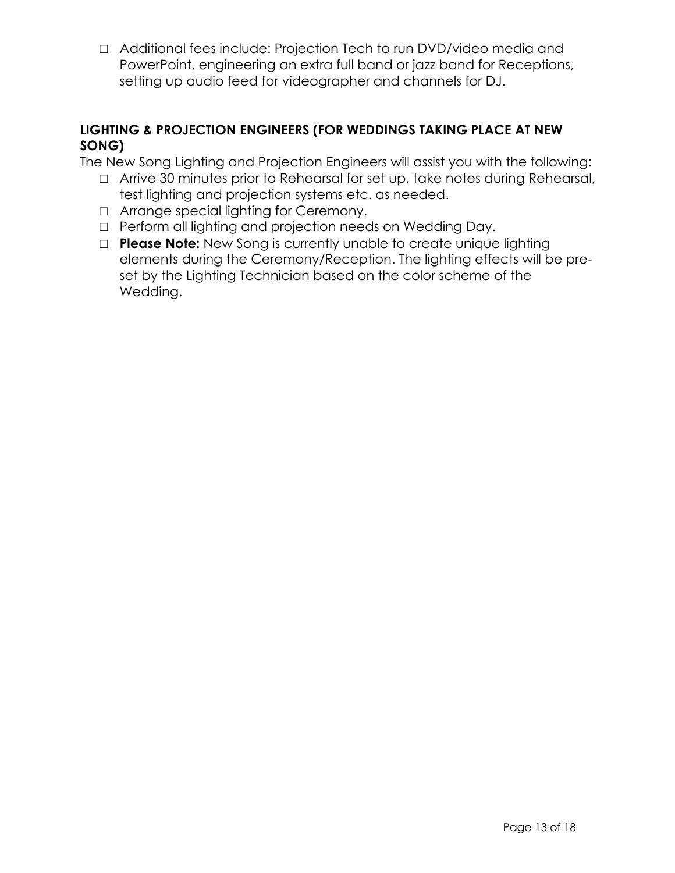□ Additional fees include: Projection Tech to run DVD/video media and PowerPoint, engineering an extra full band or jazz band for Receptions, setting up audio feed for videographer and channels for DJ.

#### **LIGHTING & PROJECTION ENGINEERS (FOR WEDDINGS TAKING PLACE AT NEW SONG)**

The New Song Lighting and Projection Engineers will assist you with the following:

- □ Arrive 30 minutes prior to Rehearsal for set up, take notes during Rehearsal, test lighting and projection systems etc. as needed.
- □ Arrange special lighting for Ceremony.
- □ Perform all lighting and projection needs on Wedding Day.
- □ **Please Note:** New Song is currently unable to create unique lighting elements during the Ceremony/Reception. The lighting effects will be preset by the Lighting Technician based on the color scheme of the Wedding.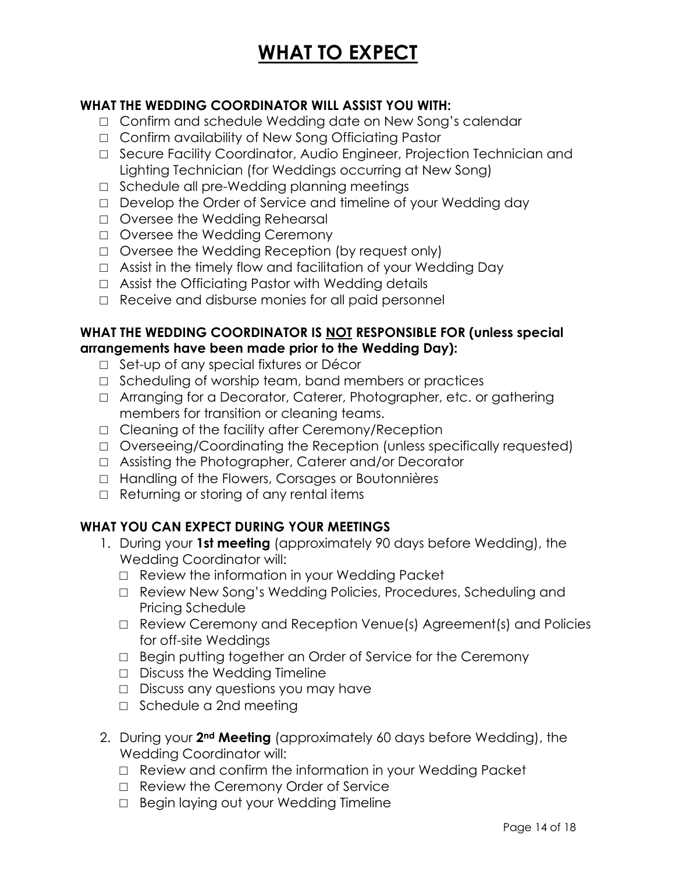### **WHAT TO EXPECT**

#### **WHAT THE WEDDING COORDINATOR WILL ASSIST YOU WITH:**

- □ Confirm and schedule Wedding date on New Song's calendar
- □ Confirm availability of New Song Officiating Pastor
- □ Secure Facility Coordinator, Audio Engineer, Projection Technician and Lighting Technician (for Weddings occurring at New Song)
- □ Schedule all pre-Wedding planning meetings
- □ Develop the Order of Service and timeline of your Wedding day
- □ Oversee the Wedding Rehearsal
- □ Oversee the Wedding Ceremony
- □ Oversee the Wedding Reception (by request only)
- □ Assist in the timely flow and facilitation of your Wedding Day
- $\Box$  Assist the Officiating Pastor with Wedding details
- □ Receive and disburse monies for all paid personnel

#### **WHAT THE WEDDING COORDINATOR IS NOT RESPONSIBLE FOR (unless special arrangements have been made prior to the Wedding Day):**

- □ Set-up of any special fixtures or Décor
- □ Scheduling of worship team, band members or practices
- □ Arranging for a Decorator, Caterer, Photographer, etc. or gathering members for transition or cleaning teams.
- □ Cleaning of the facility after Ceremony/Reception
- □ Overseeing/Coordinating the Reception (unless specifically requested)
- □ Assisting the Photographer, Caterer and/or Decorator
- □ Handling of the Flowers, Corsages or Boutonnières
- $\Box$  Returning or storing of any rental items

#### **WHAT YOU CAN EXPECT DURING YOUR MEETINGS**

- 1. During your **1st meeting** (approximately 90 days before Wedding), the Wedding Coordinator will:
	- □ Review the information in your Wedding Packet
	- □ Review New Song's Wedding Policies, Procedures, Scheduling and Pricing Schedule
	- □ Review Ceremony and Reception Venue(s) Agreement(s) and Policies for off-site Weddings
	- □ Begin putting together an Order of Service for the Ceremony
	- □ Discuss the Wedding Timeline
	- □ Discuss any questions you may have
	- □ Schedule a 2nd meeting
- 2. During your **2nd Meeting** (approximately 60 days before Wedding), the Wedding Coordinator will:
	- □ Review and confirm the information in your Wedding Packet
	- □ Review the Ceremony Order of Service
	- □ Begin laying out your Wedding Timeline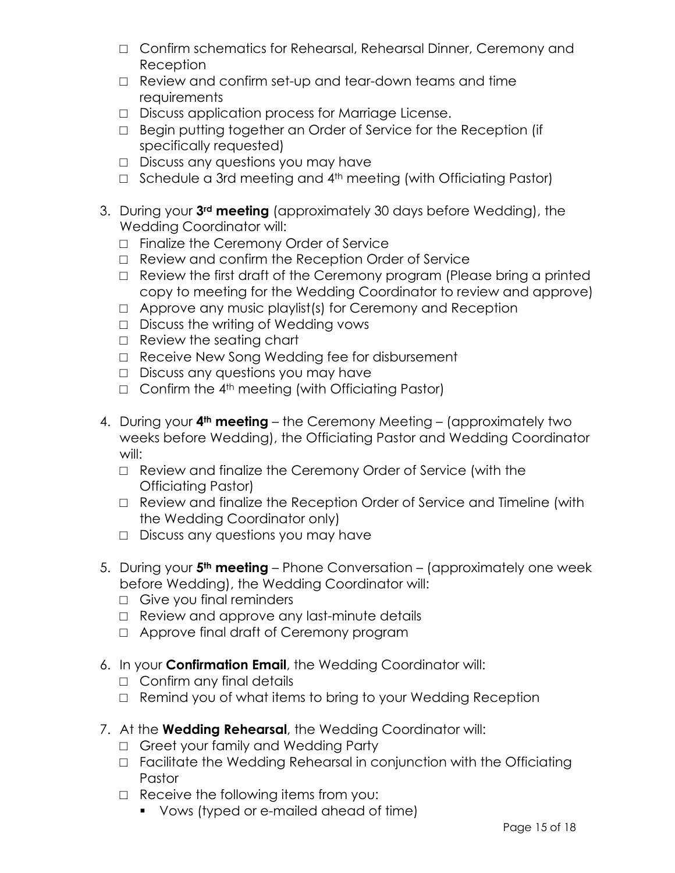- □ Confirm schematics for Rehearsal, Rehearsal Dinner, Ceremony and Reception
- □ Review and confirm set-up and tear-down teams and time requirements
- □ Discuss application process for Marriage License.
- □ Begin putting together an Order of Service for the Reception (if specifically requested)
- □ Discuss any questions you may have
- □ Schedule a 3rd meeting and 4<sup>th</sup> meeting (with Officiating Pastor)
- 3. During your **3rd meeting** (approximately 30 days before Wedding), the Wedding Coordinator will:
	- □ Finalize the Ceremony Order of Service
	- □ Review and confirm the Reception Order of Service
	- □ Review the first draft of the Ceremony program (Please bring a printed copy to meeting for the Wedding Coordinator to review and approve)
	- □ Approve any music playlist(s) for Ceremony and Reception
	- □ Discuss the writing of Wedding vows
	- □ Review the seating chart
	- □ Receive New Song Wedding fee for disbursement
	- □ Discuss any questions you may have
	- $\Box$  Confirm the 4<sup>th</sup> meeting (with Officiating Pastor)
- 4. During your **4th meeting** the Ceremony Meeting (approximately two weeks before Wedding), the Officiating Pastor and Wedding Coordinator will:
	- □ Review and finalize the Ceremony Order of Service (with the Officiating Pastor)
	- □ Review and finalize the Reception Order of Service and Timeline (with the Wedding Coordinator only)
	- □ Discuss any questions you may have
- 5. During your **5th meeting** Phone Conversation (approximately one week before Wedding), the Wedding Coordinator will:
	- □ Give you final reminders
	- □ Review and approve any last-minute details
	- □ Approve final draft of Ceremony program
- 6. In your **Confirmation Email**, the Wedding Coordinator will:
	- □ Confirm any final details
	- $\Box$  Remind you of what items to bring to your Wedding Reception
- 7. At the **Wedding Rehearsal**, the Wedding Coordinator will:
	- □ Greet your family and Wedding Party
	- □ Facilitate the Wedding Rehearsal in conjunction with the Officiating Pastor
	- □ Receive the following items from you:
		- § Vows (typed or e-mailed ahead of time)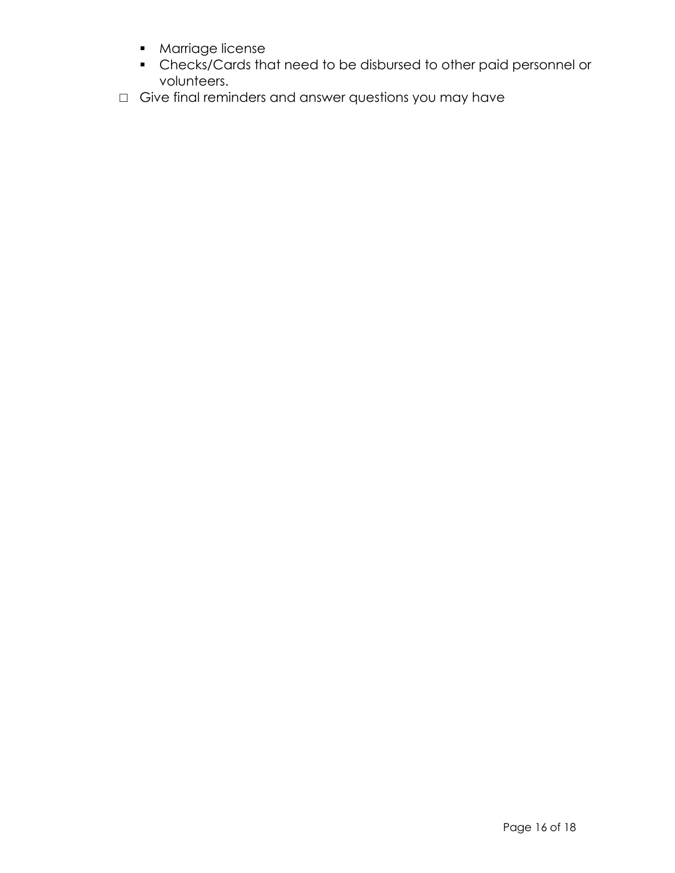- § Marriage license
- § Checks/Cards that need to be disbursed to other paid personnel or volunteers.
- □ Give final reminders and answer questions you may have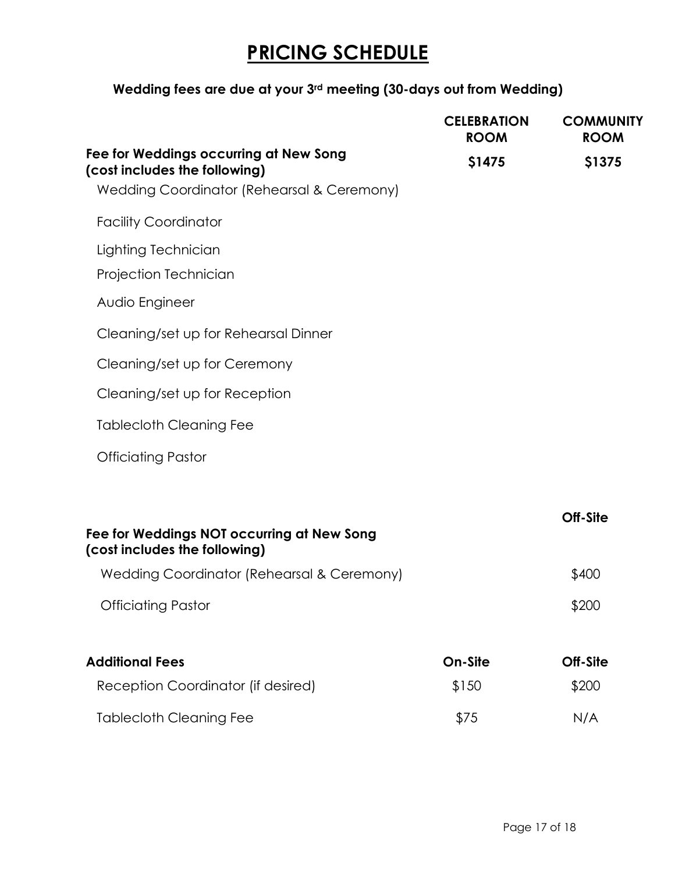### **PRICING SCHEDULE**

#### **Wedding fees are due at your 3rd meeting (30-days out from Wedding)**

|                                                                             | <b>CELEBRATION</b><br><b>ROOM</b> | <b>COMMUNITY</b><br><b>ROOM</b> |
|-----------------------------------------------------------------------------|-----------------------------------|---------------------------------|
| Fee for Weddings occurring at New Song<br>(cost includes the following)     | \$1475                            | \$1375                          |
| Wedding Coordinator (Rehearsal & Ceremony)                                  |                                   |                                 |
| <b>Facility Coordinator</b>                                                 |                                   |                                 |
| Lighting Technician                                                         |                                   |                                 |
| Projection Technician                                                       |                                   |                                 |
| Audio Engineer                                                              |                                   |                                 |
| Cleaning/set up for Rehearsal Dinner                                        |                                   |                                 |
| Cleaning/set up for Ceremony                                                |                                   |                                 |
| Cleaning/set up for Reception                                               |                                   |                                 |
| <b>Tablecloth Cleaning Fee</b>                                              |                                   |                                 |
| <b>Officiating Pastor</b>                                                   |                                   |                                 |
|                                                                             |                                   |                                 |
| Fee for Weddings NOT occurring at New Song<br>(cost includes the following) |                                   | Off-Site                        |
| Wedding Coordinator (Rehearsal & Ceremony)                                  |                                   | \$400                           |

Officiating Pastor  $$200$ 

| Addi <del>l</del> ional Fees       | On-Site | Off-Site |
|------------------------------------|---------|----------|
| Reception Coordinator (if desired) | \$150   | \$200    |
| <b>Tablecloth Cleaning Fee</b>     | \$75    | N/A      |